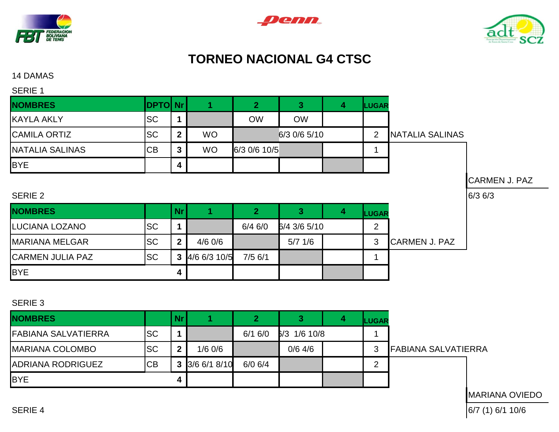





## **TORNEO NACIONAL G4 CTSC**

14 DAMAS

| <b>SERIE 1</b>         |                |              |           |              |              |   |                |                        |                      |
|------------------------|----------------|--------------|-----------|--------------|--------------|---|----------------|------------------------|----------------------|
| <b>NOMBRES</b>         | <b>DPTO Nr</b> |              |           | $\mathbf{2}$ | 3            | 4 | <b>LUGAR</b>   |                        |                      |
| <b>KAYLA AKLY</b>      | <b>SC</b>      |              |           | <b>OW</b>    | <b>OW</b>    |   |                |                        |                      |
| <b>CAMILA ORTIZ</b>    | <b>SC</b>      | $\mathbf{2}$ | <b>WO</b> |              | 6/3 0/6 5/10 |   | $\overline{2}$ | <b>NATALIA SALINAS</b> |                      |
| <b>NATALIA SALINAS</b> | <b>CB</b>      | 3            | <b>WO</b> | 6/3 0/6 10/5 |              |   |                |                        |                      |
| <b>BYE</b>             |                | 4            |           |              |              |   |                |                        |                      |
|                        |                |              |           |              |              |   |                |                        | <b>CARMEN J. PAZ</b> |
| SERIE 2                |                |              |           |              |              |   |                |                        | $6/3$ 6/3            |
| <b>NOMBRES</b>         |                | Nr           |           | 2            | З            |   | LUGAR          |                        |                      |

SERIE 3

BYE **4**

| <b>NOMBRES</b>             |           | Nr. |              |             |                | <b>LUGAR</b>               |
|----------------------------|-----------|-----|--------------|-------------|----------------|----------------------------|
| <b>FABIANA SALVATIERRA</b> | <b>SC</b> |     |              | 6/16/0      | $3/3$ 1/6 10/8 |                            |
| <b>MARIANA COLOMBO</b>     | <b>SC</b> | ີ   | $1/6$ 0/6    |             | $0/6$ 4/6      | <b>FABIANA SALVATIERRA</b> |
| <b>ADRIANA RODRIGUEZ</b>   | CB        | 3   | 3/6 6/1 8/10 | $6/0$ $6/4$ |                | ◠                          |
| <b>BYE</b>                 |           |     |              |             |                |                            |

LUCIANA LOZANO SC **1** 6/4 6/0 6/4 3/6 5/10 2

**CARMEN JULIA PAZ SC 3** 4/6 6/3 10/5 7/5 6/1 1

MARIANA MELGAR SC **2** 4/6 0/6 5/7 1/6 3 CARMEN J. PAZ

MARIANA OVIEDO